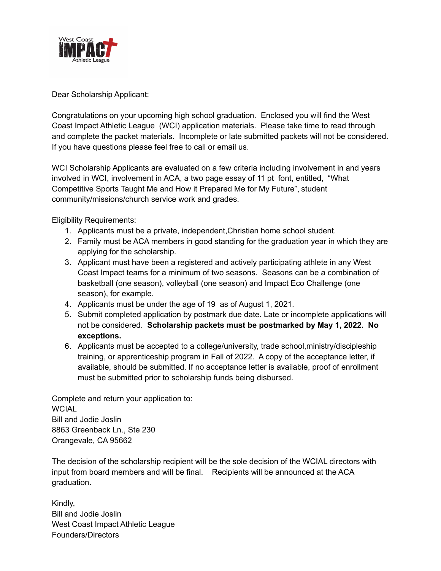

Dear Scholarship Applicant:

Congratulations on your upcoming high school graduation. Enclosed you will find the West Coast Impact Athletic League (WCI) application materials. Please take time to read through and complete the packet materials. Incomplete or late submitted packets will not be considered. If you have questions please feel free to call or email us.

WCI Scholarship Applicants are evaluated on a few criteria including involvement in and years involved in WCI, involvement in ACA, a two page essay of 11 pt font, entitled, "What Competitive Sports Taught Me and How it Prepared Me for My Future", student community/missions/church service work and grades.

Eligibility Requirements:

- 1. Applicants must be a private, independent,Christian home school student.
- 2. Family must be ACA members in good standing for the graduation year in which they are applying for the scholarship.
- 3. Applicant must have been a registered and actively participating athlete in any West Coast Impact teams for a minimum of two seasons. Seasons can be a combination of basketball (one season), volleyball (one season) and Impact Eco Challenge (one season), for example.
- 4. Applicants must be under the age of 19 as of August 1, 2021.
- 5. Submit completed application by postmark due date. Late or incomplete applications will not be considered. **Scholarship packets must be postmarked by May 1, 2022. No exceptions.**
- 6. Applicants must be accepted to a college/university, trade school,ministry/discipleship training, or apprenticeship program in Fall of 2022. A copy of the acceptance letter, if available, should be submitted. If no acceptance letter is available, proof of enrollment must be submitted prior to scholarship funds being disbursed.

Complete and return your application to: **WCIAL** Bill and Jodie Joslin 8863 Greenback Ln., Ste 230 Orangevale, CA 95662

The decision of the scholarship recipient will be the sole decision of the WCIAL directors with input from board members and will be final. Recipients will be announced at the ACA graduation.

Kindly, Bill and Jodie Joslin West Coast Impact Athletic League Founders/Directors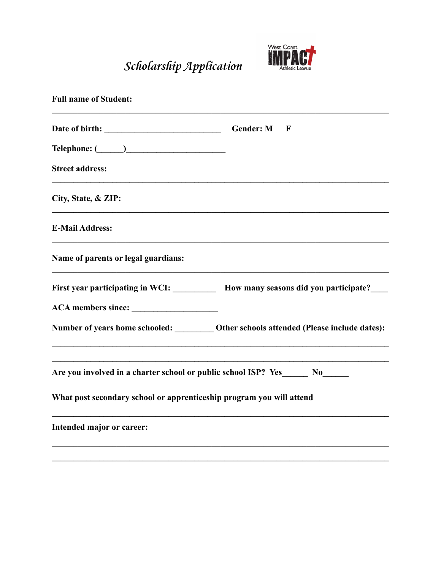**Scholarship Application**



| <b>Full name of Student:</b>                                                      |                                                                                          |
|-----------------------------------------------------------------------------------|------------------------------------------------------------------------------------------|
|                                                                                   | <b>Gender: M</b><br>$\mathbf F$                                                          |
|                                                                                   |                                                                                          |
| <b>Street address:</b>                                                            |                                                                                          |
| City, State, & ZIP:                                                               |                                                                                          |
| <b>E-Mail Address:</b>                                                            |                                                                                          |
| Name of parents or legal guardians:                                               |                                                                                          |
|                                                                                   | First year participating in WCI: ___________ How many seasons did you participate?       |
|                                                                                   |                                                                                          |
|                                                                                   | Number of years home schooled: __________ Other schools attended (Please include dates): |
| Are you involved in a charter school or public school ISP? Yes_________ No_______ |                                                                                          |
| What post secondary school or apprenticeship program you will attend              |                                                                                          |
| Intended major or career:                                                         |                                                                                          |

 $\mathcal{L}_\mathcal{L} = \{ \mathcal{L}_\mathcal{L} = \{ \mathcal{L}_\mathcal{L} = \{ \mathcal{L}_\mathcal{L} = \{ \mathcal{L}_\mathcal{L} = \{ \mathcal{L}_\mathcal{L} = \{ \mathcal{L}_\mathcal{L} = \{ \mathcal{L}_\mathcal{L} = \{ \mathcal{L}_\mathcal{L} = \{ \mathcal{L}_\mathcal{L} = \{ \mathcal{L}_\mathcal{L} = \{ \mathcal{L}_\mathcal{L} = \{ \mathcal{L}_\mathcal{L} = \{ \mathcal{L}_\mathcal{L} = \{ \mathcal{L}_\mathcal{$